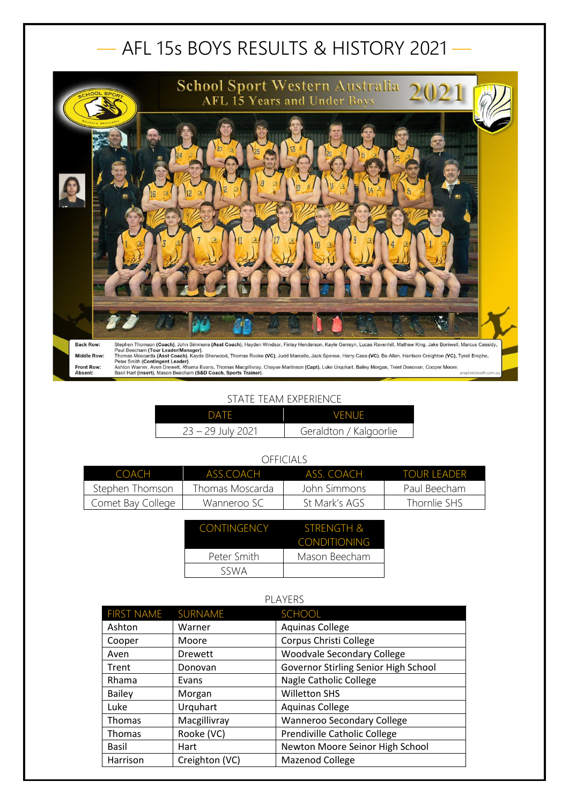## — AFL 15s BOYS RESULTS & HISTORY 2021 —



## STATE TEAM EXPERIENCE

| DATF                | <b>VENUE</b>           |
|---------------------|------------------------|
| $23 - 29$ July 2021 | Geraldton / Kalgoorlie |

| VIII IVIMLI       |                 |               |              |  |
|-------------------|-----------------|---------------|--------------|--|
| COACH             | ASS COACH       | ASS COACH     | TOUR TEADER  |  |
| Stephen Thomson   | Thomas Moscarda | John Simmons  | Paul Beecham |  |
| Comet Bay College | Wanneroo SC     | St Mark's AGS | Thornlie SHS |  |
|                   |                 |               |              |  |

| <b>CONTINGENCY</b> | STRENGTH &          |
|--------------------|---------------------|
|                    | <b>CONDITIONING</b> |
| Peter Smith        | Mason Beecham       |
| SSWA               |                     |

| <b>PLAYERS</b>    |                |                                      |
|-------------------|----------------|--------------------------------------|
| <b>FIRST NAME</b> | SURNAME        | <b>SCHOOL</b>                        |
| Ashton            | Warner         | <b>Aquinas College</b>               |
| Cooper            | Moore          | Corpus Christi College               |
| Aven              | <b>Drewett</b> | <b>Woodvale Secondary College</b>    |
| Trent             | Donovan        | Governor Stirling Senior High School |
| Rhama             | Evans          | Nagle Catholic College               |
| <b>Bailey</b>     | Morgan         | <b>Willetton SHS</b>                 |
| Luke              | Urquhart       | <b>Aquinas College</b>               |
| Thomas            | Macgillivray   | <b>Wanneroo Secondary College</b>    |
| Thomas            | Rooke (VC)     | Prendiville Catholic College         |
| Basil             | Hart           | Newton Moore Seinor High School      |
| Harrison          | Creighton (VC) | Mazenod College                      |

## OFFICIALS